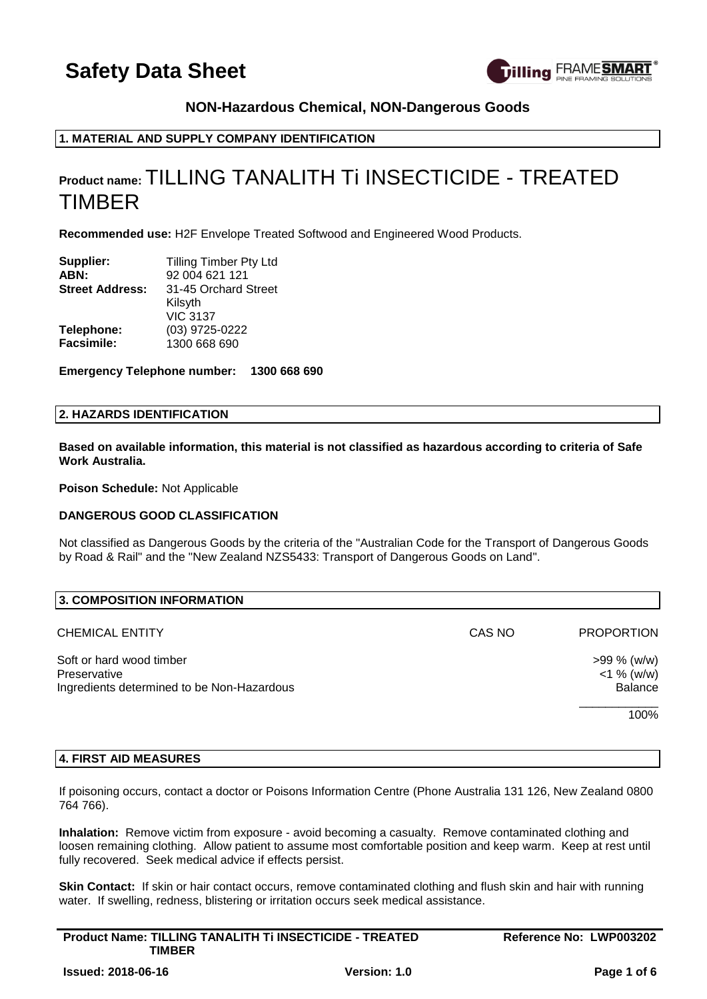

# **NON-Hazardous Chemical, NON-Dangerous Goods**

# **1. MATERIAL AND SUPPLY COMPANY IDENTIFICATION**

# **Product name:** TILLING TANALITH Ti INSECTICIDE - TREATED TIMBER

**Recommended use:** H2F Envelope Treated Softwood and Engineered Wood Products.

| Supplier:              | <b>Tilling Timber Pty Ltd</b> |
|------------------------|-------------------------------|
| ABN:                   | 92 004 621 121                |
| <b>Street Address:</b> | 31-45 Orchard Street          |
|                        | Kilsyth                       |
|                        | <b>VIC 3137</b>               |
| Telephone:             | (03) 9725-0222                |
| <b>Facsimile:</b>      | 1300 668 690                  |

**Emergency Telephone number: 1300 668 690**

# **2. HAZARDS IDENTIFICATION**

**Based on available information, this material is not classified as hazardous according to criteria of Safe Work Australia.**

**Poison Schedule:** Not Applicable

# **DANGEROUS GOOD CLASSIFICATION**

Not classified as Dangerous Goods by the criteria of the "Australian Code for the Transport of Dangerous Goods by Road & Rail" and the "New Zealand NZS5433: Transport of Dangerous Goods on Land".

| 3. COMPOSITION INFORMATION                                                             |        |                                           |
|----------------------------------------------------------------------------------------|--------|-------------------------------------------|
| <b>CHEMICAL ENTITY</b>                                                                 | CAS NO | <b>PROPORTION</b>                         |
| Soft or hard wood timber<br>Preservative<br>Ingredients determined to be Non-Hazardous |        | $>99\%$ (w/w)<br>$<$ 1 % (w/w)<br>Balance |
|                                                                                        |        | 100%                                      |

# **4. FIRST AID MEASURES**

If poisoning occurs, contact a doctor or Poisons Information Centre (Phone Australia 131 126, New Zealand 0800 764 766).

**Inhalation:** Remove victim from exposure - avoid becoming a casualty. Remove contaminated clothing and loosen remaining clothing. Allow patient to assume most comfortable position and keep warm. Keep at rest until fully recovered. Seek medical advice if effects persist.

**Skin Contact:** If skin or hair contact occurs, remove contaminated clothing and flush skin and hair with running water. If swelling, redness, blistering or irritation occurs seek medical assistance.

| <b>Product Name: TILLING TANALITH Ti INSECTICIDE - TREATED</b> |                     | Reference No: LWP003202 |
|----------------------------------------------------------------|---------------------|-------------------------|
| TIMBER                                                         |                     |                         |
| <b>Issued: 2018-06-16</b>                                      | <b>Version: 1.0</b> | Page 1 of 6             |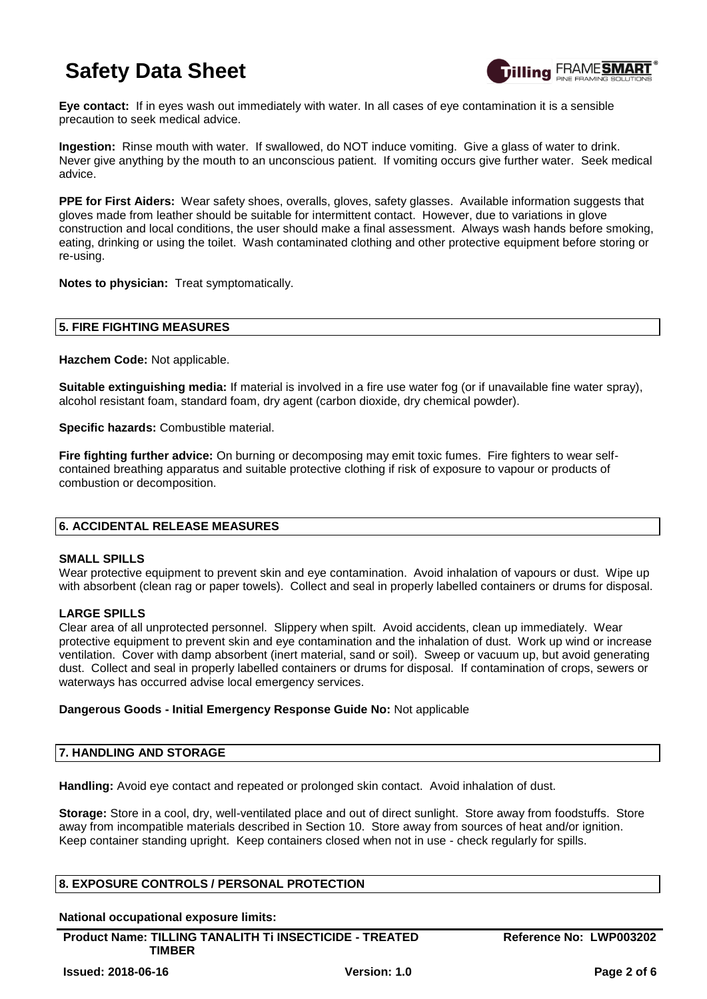

**Eye contact:** If in eyes wash out immediately with water. In all cases of eye contamination it is a sensible precaution to seek medical advice.

**Ingestion:** Rinse mouth with water. If swallowed, do NOT induce vomiting. Give a glass of water to drink. Never give anything by the mouth to an unconscious patient. If vomiting occurs give further water. Seek medical advice.

**PPE for First Aiders:** Wear safety shoes, overalls, gloves, safety glasses. Available information suggests that gloves made from leather should be suitable for intermittent contact. However, due to variations in glove construction and local conditions, the user should make a final assessment. Always wash hands before smoking, eating, drinking or using the toilet. Wash contaminated clothing and other protective equipment before storing or re-using.

**Notes to physician:** Treat symptomatically.

# **5. FIRE FIGHTING MEASURES**

**Hazchem Code:** Not applicable.

**Suitable extinguishing media:** If material is involved in a fire use water fog (or if unavailable fine water spray), alcohol resistant foam, standard foam, dry agent (carbon dioxide, dry chemical powder).

**Specific hazards:** Combustible material.

**Fire fighting further advice:** On burning or decomposing may emit toxic fumes. Fire fighters to wear selfcontained breathing apparatus and suitable protective clothing if risk of exposure to vapour or products of combustion or decomposition.

# **6. ACCIDENTAL RELEASE MEASURES**

# **SMALL SPILLS**

Wear protective equipment to prevent skin and eye contamination. Avoid inhalation of vapours or dust. Wipe up with absorbent (clean rag or paper towels). Collect and seal in properly labelled containers or drums for disposal.

# **LARGE SPILLS**

Clear area of all unprotected personnel. Slippery when spilt. Avoid accidents, clean up immediately. Wear protective equipment to prevent skin and eye contamination and the inhalation of dust. Work up wind or increase ventilation. Cover with damp absorbent (inert material, sand or soil). Sweep or vacuum up, but avoid generating dust. Collect and seal in properly labelled containers or drums for disposal. If contamination of crops, sewers or waterways has occurred advise local emergency services.

# **Dangerous Goods - Initial Emergency Response Guide No:** Not applicable

# **7. HANDLING AND STORAGE**

**Handling:** Avoid eye contact and repeated or prolonged skin contact. Avoid inhalation of dust.

**Storage:** Store in a cool, dry, well-ventilated place and out of direct sunlight. Store away from foodstuffs. Store away from incompatible materials described in Section 10. Store away from sources of heat and/or ignition. Keep container standing upright. Keep containers closed when not in use - check regularly for spills.

# **8. EXPOSURE CONTROLS / PERSONAL PROTECTION**

**National occupational exposure limits:**

**Product Name: TILLING TANALITH Ti INSECTICIDE - TREATED TIMBER**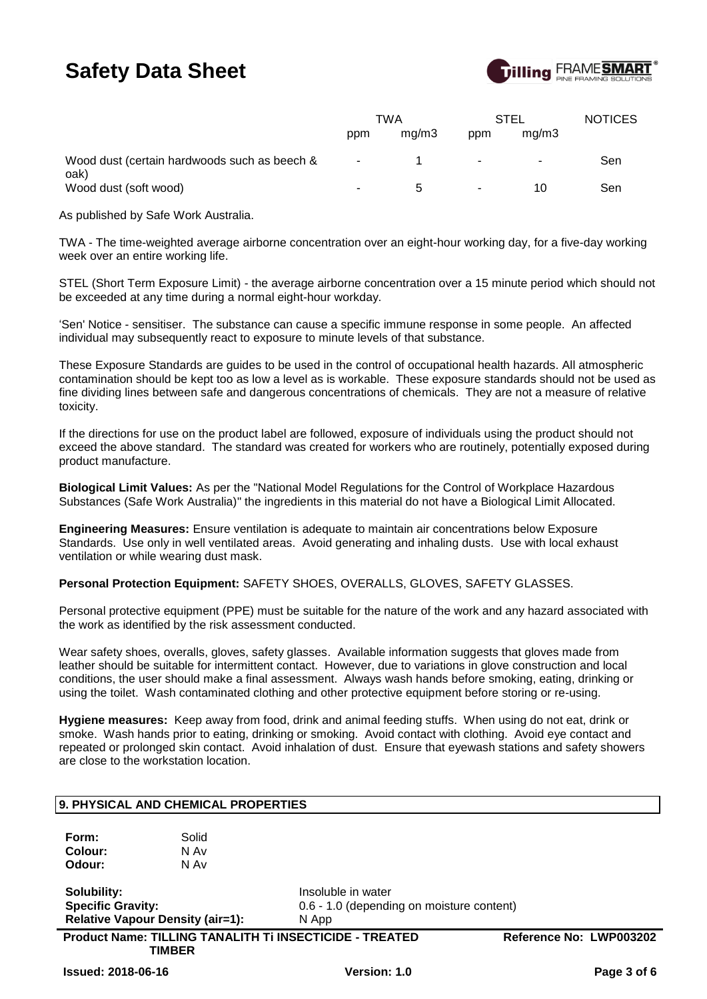

|                                                      |        | TWA          |        | STEL  | <b>NOTICES</b> |
|------------------------------------------------------|--------|--------------|--------|-------|----------------|
|                                                      | ppm    | mq/m3        | ppm    | ma/m3 |                |
| Wood dust (certain hardwoods such as beech &<br>oak) | $\sim$ |              | $\sim$ | ۰     | Sen            |
| Wood dust (soft wood)                                | н.     | $\mathbf{b}$ | ۰.     | 10    | Sen            |

As published by Safe Work Australia.

TWA - The time-weighted average airborne concentration over an eight-hour working day, for a five-day working week over an entire working life.

STEL (Short Term Exposure Limit) - the average airborne concentration over a 15 minute period which should not be exceeded at any time during a normal eight-hour workday.

'Sen' Notice - sensitiser. The substance can cause a specific immune response in some people. An affected individual may subsequently react to exposure to minute levels of that substance.

These Exposure Standards are guides to be used in the control of occupational health hazards. All atmospheric contamination should be kept too as low a level as is workable. These exposure standards should not be used as fine dividing lines between safe and dangerous concentrations of chemicals. They are not a measure of relative toxicity.

If the directions for use on the product label are followed, exposure of individuals using the product should not exceed the above standard. The standard was created for workers who are routinely, potentially exposed during product manufacture.

**Biological Limit Values:** As per the "National Model Regulations for the Control of Workplace Hazardous Substances (Safe Work Australia)" the ingredients in this material do not have a Biological Limit Allocated.

**Engineering Measures:** Ensure ventilation is adequate to maintain air concentrations below Exposure Standards. Use only in well ventilated areas. Avoid generating and inhaling dusts. Use with local exhaust ventilation or while wearing dust mask.

**Personal Protection Equipment:** SAFETY SHOES, OVERALLS, GLOVES, SAFETY GLASSES.

Personal protective equipment (PPE) must be suitable for the nature of the work and any hazard associated with the work as identified by the risk assessment conducted.

Wear safety shoes, overalls, gloves, safety glasses. Available information suggests that gloves made from leather should be suitable for intermittent contact. However, due to variations in glove construction and local conditions, the user should make a final assessment. Always wash hands before smoking, eating, drinking or using the toilet. Wash contaminated clothing and other protective equipment before storing or re-using.

**Hygiene measures:** Keep away from food, drink and animal feeding stuffs. When using do not eat, drink or smoke. Wash hands prior to eating, drinking or smoking. Avoid contact with clothing. Avoid eye contact and repeated or prolonged skin contact. Avoid inhalation of dust. Ensure that eyewash stations and safety showers are close to the workstation location.

|                           | 9. PHYSICAL AND CHEMICAL PROPERTIES     |                                                         |                         |
|---------------------------|-----------------------------------------|---------------------------------------------------------|-------------------------|
| Form:                     | Solid                                   |                                                         |                         |
| Colour:                   | N Av                                    |                                                         |                         |
| Odour:                    | N Av                                    |                                                         |                         |
| Solubility:               |                                         | Insoluble in water                                      |                         |
| <b>Specific Gravity:</b>  |                                         | 0.6 - 1.0 (depending on moisture content)               |                         |
|                           | <b>Relative Vapour Density (air=1):</b> | N App                                                   |                         |
|                           | <b>TIMBER</b>                           | Product Name: TILLING TANALITH Ti INSECTICIDE - TREATED | Reference No: LWP003202 |
| <b>Issued: 2018-06-16</b> |                                         | Version: 1.0                                            | Page 3 of 6             |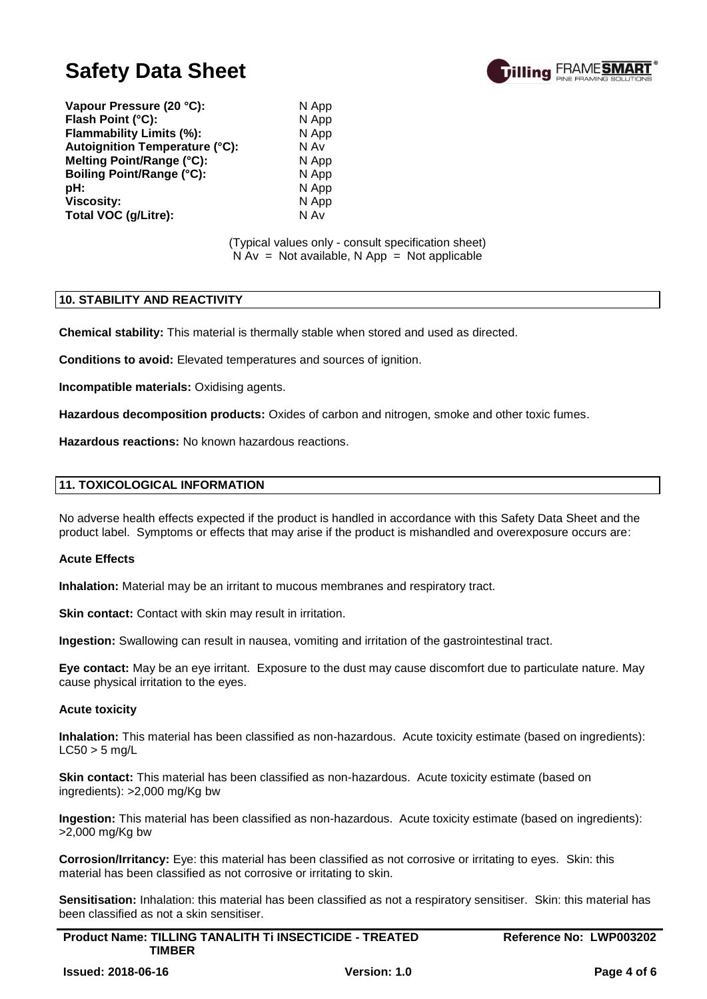

**Vapour Pressure (20 °C):** N App **Flash Point (°C):** N App **Flammability Limits (%):** N App **Autoignition Temperature (°C):** N Av **Melting Point/Range (°C):** N App **Boiling Point/Range (°C):** N App **pH:** N App **Viscosity:** N App **Total VOC (g/Litre):** N Av

#### (Typical values only - consult specification sheet)  $N Av = Not available, N App = Not applicable$

#### **10. STABILITY AND REACTIVITY**

**Chemical stability:** This material is thermally stable when stored and used as directed.

**Conditions to avoid:** Elevated temperatures and sources of ignition.

**Incompatible materials:** Oxidising agents.

**Hazardous decomposition products:** Oxides of carbon and nitrogen, smoke and other toxic fumes.

**Hazardous reactions:** No known hazardous reactions.

#### **11. TOXICOLOGICAL INFORMATION**

No adverse health effects expected if the product is handled in accordance with this Safety Data Sheet and the product label. Symptoms or effects that may arise if the product is mishandled and overexposure occurs are:

#### **Acute Effects**

**Inhalation:** Material may be an irritant to mucous membranes and respiratory tract.

**Skin contact:** Contact with skin may result in irritation.

**Ingestion:** Swallowing can result in nausea, vomiting and irritation of the gastrointestinal tract.

**Eye contact:** May be an eye irritant. Exposure to the dust may cause discomfort due to particulate nature. May cause physical irritation to the eyes.

# **Acute toxicity**

**Inhalation:** This material has been classified as non-hazardous. Acute toxicity estimate (based on ingredients):  $LC50 > 5$  mg/L

**Skin contact:** This material has been classified as non-hazardous. Acute toxicity estimate (based on ingredients): >2,000 mg/Kg bw

**Ingestion:** This material has been classified as non-hazardous. Acute toxicity estimate (based on ingredients): >2,000 mg/Kg bw

**Corrosion/Irritancy:** Eye: this material has been classified as not corrosive or irritating to eyes. Skin: this material has been classified as not corrosive or irritating to skin.

**Sensitisation:** Inhalation: this material has been classified as not a respiratory sensitiser. Skin: this material has been classified as not a skin sensitiser.

| <b>Product Name: TILLING TANALITH TI INSECTICIDE - TREATED</b> | Reference No: LWP003202 |
|----------------------------------------------------------------|-------------------------|
| <b>TIMBER</b>                                                  |                         |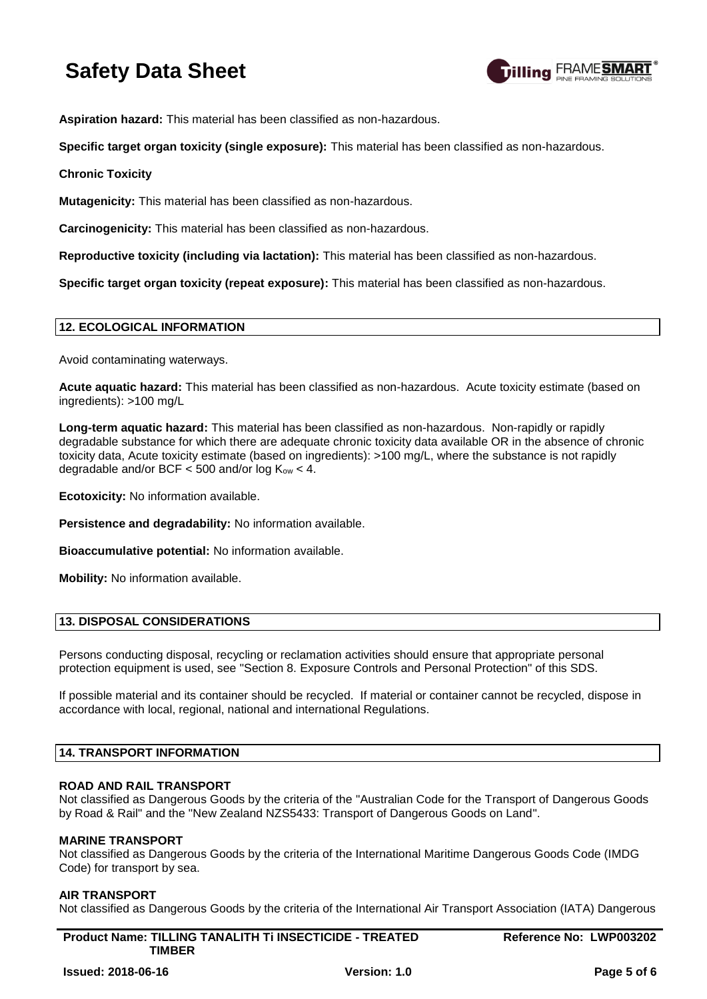

**Aspiration hazard:** This material has been classified as non-hazardous.

**Specific target organ toxicity (single exposure):** This material has been classified as non-hazardous.

# **Chronic Toxicity**

**Mutagenicity:** This material has been classified as non-hazardous.

**Carcinogenicity:** This material has been classified as non-hazardous.

**Reproductive toxicity (including via lactation):** This material has been classified as non-hazardous.

**Specific target organ toxicity (repeat exposure):** This material has been classified as non-hazardous.

# **12. ECOLOGICAL INFORMATION**

Avoid contaminating waterways.

**Acute aquatic hazard:** This material has been classified as non-hazardous. Acute toxicity estimate (based on ingredients): >100 mg/L

**Long-term aquatic hazard:** This material has been classified as non-hazardous. Non-rapidly or rapidly degradable substance for which there are adequate chronic toxicity data available OR in the absence of chronic toxicity data, Acute toxicity estimate (based on ingredients): >100 mg/L, where the substance is not rapidly degradable and/or BCF  $<$  500 and/or log K<sub>ow</sub>  $<$  4.

**Ecotoxicity:** No information available.

**Persistence and degradability:** No information available.

**Bioaccumulative potential:** No information available.

**Mobility:** No information available.

# **13. DISPOSAL CONSIDERATIONS**

Persons conducting disposal, recycling or reclamation activities should ensure that appropriate personal protection equipment is used, see "Section 8. Exposure Controls and Personal Protection" of this SDS.

If possible material and its container should be recycled. If material or container cannot be recycled, dispose in accordance with local, regional, national and international Regulations.

# **14. TRANSPORT INFORMATION**

# **ROAD AND RAIL TRANSPORT**

Not classified as Dangerous Goods by the criteria of the "Australian Code for the Transport of Dangerous Goods by Road & Rail" and the "New Zealand NZS5433: Transport of Dangerous Goods on Land".

# **MARINE TRANSPORT**

Not classified as Dangerous Goods by the criteria of the International Maritime Dangerous Goods Code (IMDG Code) for transport by sea.

# **AIR TRANSPORT**

Not classified as Dangerous Goods by the criteria of the International Air Transport Association (IATA) Dangerous

| <b>Product Name: TILLING TANALITH TI INSECTICIDE - TREATED</b> | Reference No: LWP003202 |
|----------------------------------------------------------------|-------------------------|
| <b>TIMBER</b>                                                  |                         |